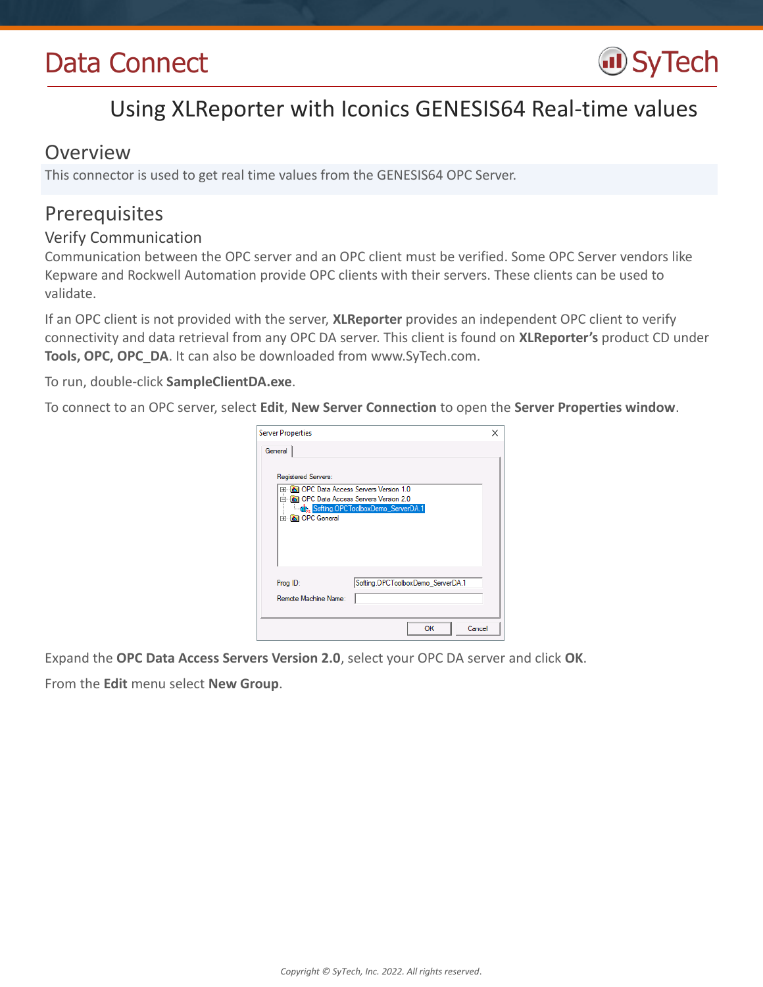# Data Connect



## Using XLReporter with Iconics GENESIS64 Real-time values

### Overview

This connector is used to get real time values from the GENESIS64 OPC Server.

## Prerequisites

#### Verify Communication

Communication between the OPC server and an OPC client must be verified. Some OPC Server vendors like Kepware and Rockwell Automation provide OPC clients with their servers. These clients can be used to validate.

If an OPC client is not provided with the server, **XLReporter** provides an independent OPC client to verify connectivity and data retrieval from any OPC DA server. This client is found on **XLReporter's** product CD under **Tools, OPC, OPC\_DA**. It can also be downloaded from www.SyTech.com.

To run, double-click **SampleClientDA.exe**.

To connect to an OPC server, select **Edit**, **New Server Connection** to open the **Server Properties window**.

| <b>Server Properties</b><br>General                                                                                                                   |                                   |    | ×      |
|-------------------------------------------------------------------------------------------------------------------------------------------------------|-----------------------------------|----|--------|
| Registered Servers:<br>田…[ <b>画] OPC Data Access Servers Version 1.0</b><br>ने <b>कि। OPC Data Access Servers Version 2.0</b><br><b>E</b> OPC General | Softing.OPCToolboxDemo_ServerDA.1 |    |        |
| Prog ID:<br>Remote Machine Name:                                                                                                                      | Softing.OPCToolboxDemo_ServerDA.1 |    |        |
|                                                                                                                                                       |                                   | OK | Cancel |

Expand the **OPC Data Access Servers Version 2.0**, select your OPC DA server and click **OK**.

From the **Edit** menu select **New Group**.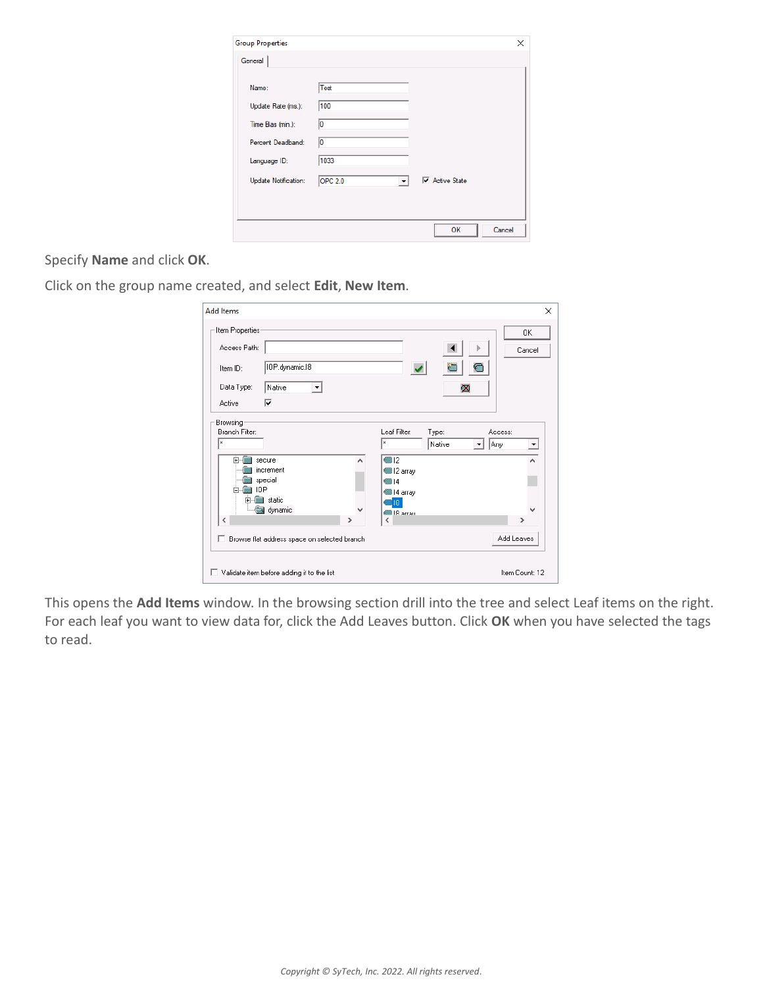| <b>Group Properties</b>     |                                        |                                      | ×      |
|-----------------------------|----------------------------------------|--------------------------------------|--------|
| General                     |                                        |                                      |        |
| Name:                       | Test                                   |                                      |        |
| Update Rate (ms.):          | 100                                    |                                      |        |
| Time Bias (min.):           | 10                                     |                                      |        |
| Percent Deadband:           | 10                                     |                                      |        |
| Language ID:                | 1033                                   |                                      |        |
| <b>Update Notification:</b> | <b>OPC 2.0</b><br>$\blacktriangledown$ | $\overline{\mathbf{v}}$ Active State |        |
|                             |                                        |                                      |        |
|                             |                                        |                                      |        |
|                             |                                        | OК                                   | Cancel |

Specify **Name** and click **OK**.

Click on the group name created, and select **Edit**, **New Item**.

| <b>Add Items</b>                                                                                                                                      |                                              |        |                                                                                                        |                 |                          | ×                                                        |
|-------------------------------------------------------------------------------------------------------------------------------------------------------|----------------------------------------------|--------|--------------------------------------------------------------------------------------------------------|-----------------|--------------------------|----------------------------------------------------------|
| Item Properties<br>Access Path:<br>Item ID:<br>Data Type:<br>Native<br>⊽<br>Active                                                                    | IOP.dynamic.I8<br>▾                          |        |                                                                                                        | ळ               | $\overline{\mathcal{C}}$ | OK.<br>Cancel                                            |
| Browsing-<br>Branch Filter:<br>×<br>secure<br>Ŧ<br>increment<br>special<br>IDP<br><b>in</b> static<br><b>F</b><br>dynamic<br>$\overline{\phantom{a}}$ | Browse flat address space on selected branch | ۸<br>> | Leaf Filter:<br>×<br>$\blacksquare$ 12<br>■12 array<br>@14<br>14 array<br>ै।8<br><b>图18 arrau</b><br>≺ | Type:<br>Native | Access:<br>Any           | $\blacktriangledown$<br>۸<br>$\rightarrow$<br>Add Leaves |
| Validate item before adding it to the list                                                                                                            |                                              |        |                                                                                                        |                 |                          | Item Count: 12                                           |

This opens the **Add Items** window. In the browsing section drill into the tree and select Leaf items on the right. For each leaf you want to view data for, click the Add Leaves button. Click **OK** when you have selected the tags to read.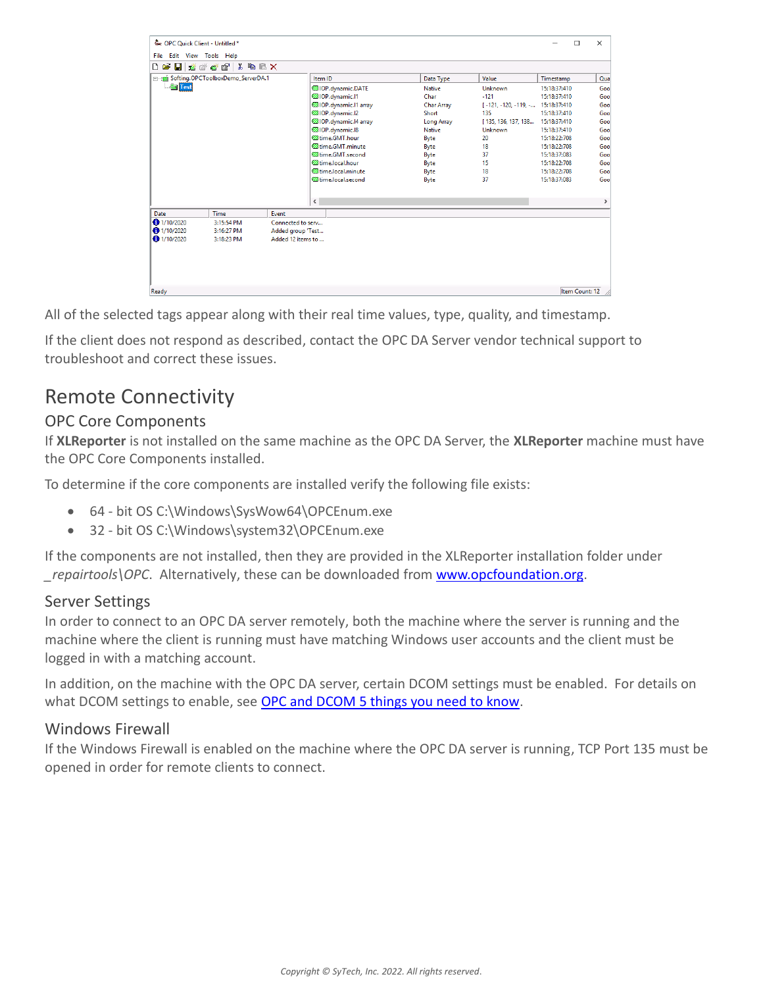| & OPC Ouick Client - Untitled *                          |                                   |                   |                |                             |                   |                                   |              | $\Box$         | $\times$     |
|----------------------------------------------------------|-----------------------------------|-------------------|----------------|-----------------------------|-------------------|-----------------------------------|--------------|----------------|--------------|
| File Edit View Tools Help                                |                                   |                   |                |                             |                   |                                   |              |                |              |
| e el<br>ు                                                | 高噪噪 5g   X 电临入                    |                   |                |                             |                   |                                   |              |                |              |
|                                                          | Softing.OPCToolboxDemo_ServerDA.1 |                   | Item ID        |                             | Data Type         | Value                             | Timestamp    |                | Qua          |
| <b>Test</b>                                              |                                   |                   |                | OIP.dynamic.DATE            | <b>Native</b>     | <b>Unknown</b>                    | 15:18:37:410 |                | Goo          |
|                                                          |                                   |                   |                | @IOP.dynamic.I1             | Char              | $-121$                            | 15:18:37:410 |                | Goo          |
|                                                          |                                   |                   |                | OIOP.dynamic.I1 array       | <b>Char Array</b> | [-121, -120, -119, - 15:18:37:410 |              |                | Goo          |
|                                                          |                                   |                   |                | CIOP.dynamic.I2             | Short             | 135                               | 15:18:37:410 |                | Goo          |
|                                                          |                                   |                   |                | IOP.dynamic.I4 array        | <b>Long Array</b> | [135, 136, 137, 138 15:18:37:410  |              |                | Goo          |
|                                                          |                                   |                   |                | @IOP.dynamic.I8             | <b>Native</b>     | Unknown                           | 15:18:37:410 |                | Goo          |
|                                                          |                                   |                   |                | <b>Iffilme.GMT.hour</b>     | Byte              | 20                                | 15:18:22:708 |                | Goo          |
|                                                          |                                   |                   |                | lime.GMT.minute             | Byte              | 18                                | 15:18:22:708 |                | Goo          |
|                                                          |                                   |                   |                | time.GMT.second             | Byte              | 37                                | 15:18:37:083 |                | Goo          |
|                                                          |                                   |                   |                | time.local.hour             | Byte              | 15                                | 15:18:22:708 |                | Goo          |
|                                                          |                                   |                   |                | <b>Illarge Local minute</b> | Byte              | 18                                | 15:18:22:708 |                | Goo          |
|                                                          |                                   |                   |                | time.local.second           | Byte              | 37                                | 15:18:37:083 |                | Goo          |
|                                                          |                                   |                   |                |                             |                   |                                   |              |                |              |
|                                                          |                                   |                   | $\bar{\rm{C}}$ |                             |                   |                                   |              |                | $\mathbf{r}$ |
| Date                                                     | Time                              | Event             |                |                             |                   |                                   |              |                |              |
| $\bigcirc$ 1/10/2020                                     | 3:15:54 PM                        | Connected to serv |                |                             |                   |                                   |              |                |              |
| $\bigoplus$ 1/10/2020<br>3:16:27 PM<br>Added group 'Test |                                   |                   |                |                             |                   |                                   |              |                |              |
| 1/10/2020                                                | 3:18:23 PM                        | Added 12 items to |                |                             |                   |                                   |              |                |              |
|                                                          |                                   |                   |                |                             |                   |                                   |              |                |              |
| Ready                                                    |                                   |                   |                |                             |                   |                                   |              | Item Count: 12 |              |

All of the selected tags appear along with their real time values, type, quality, and timestamp.

If the client does not respond as described, contact the OPC DA Server vendor technical support to troubleshoot and correct these issues.

## Remote Connectivity

#### OPC Core Components

If **XLReporter** is not installed on the same machine as the OPC DA Server, the **XLReporter** machine must have the OPC Core Components installed.

To determine if the core components are installed verify the following file exists:

- 64 bit OS C:\Windows\SysWow64\OPCEnum.exe
- 32 bit OS C:\Windows\system32\OPCEnum.exe

If the components are not installed, then they are provided in the XLReporter installation folder under *\_repairtools\OPC*. Alternatively, these can be downloaded from [www.opcfoundation.org.](http://www.opcfoundation.org/)

#### Server Settings

In order to connect to an OPC DA server remotely, both the machine where the server is running and the machine where the client is running must have matching Windows user accounts and the client must be logged in with a matching account.

In addition, on the machine with the OPC DA server, certain DCOM settings must be enabled. For details on what DCOM settings to enable, see [OPC and DCOM 5 things you need to know.](http://www.sytech.com/download/opc_and_dcom.pdf)

#### Windows Firewall

If the Windows Firewall is enabled on the machine where the OPC DA server is running, TCP Port 135 must be opened in order for remote clients to connect.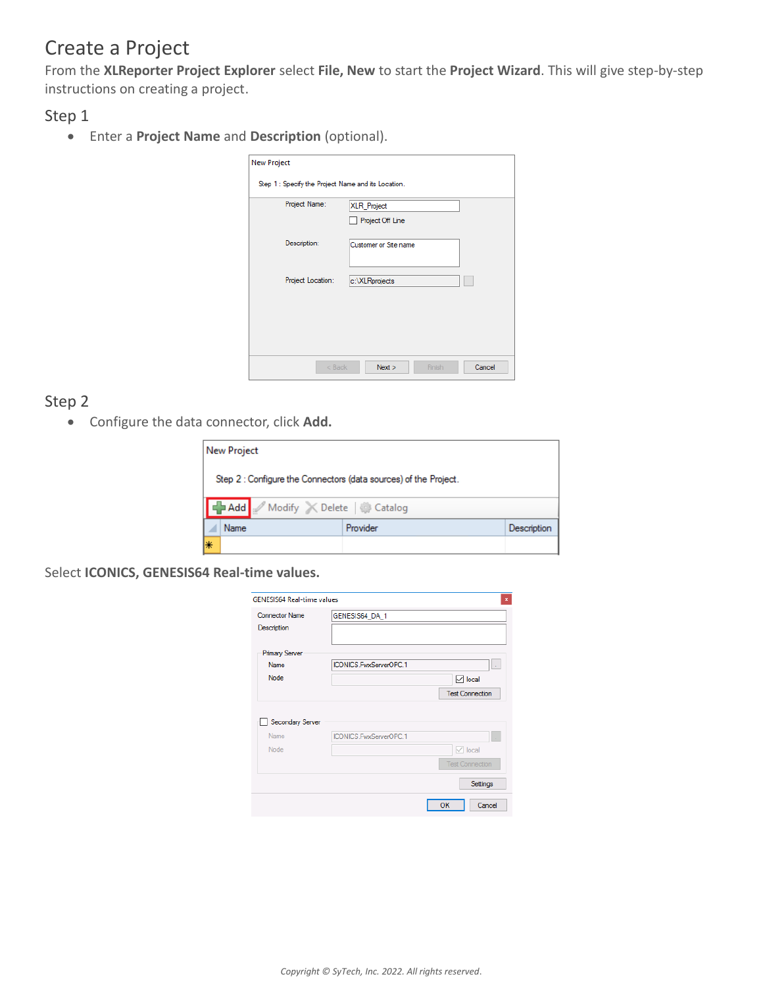## Create a Project

From the **XLReporter Project Explorer** select **File, New** to start the **Project Wizard**. This will give step-by-step instructions on creating a project.

Step 1

Enter a **Project Name** and **Description** (optional).

| <b>New Project</b><br>Step 1 : Specify the Project Name and its Location. |                                        |
|---------------------------------------------------------------------------|----------------------------------------|
| Project Name:                                                             | <b>XLR_Project</b><br>Project Off Line |
| Description:                                                              | Customer or Site name                  |
| Project Location:                                                         | c:\XLRprojects                         |
|                                                                           |                                        |
| $<$ Back                                                                  | Cancel<br>Next<br>Finish               |

#### Step 2

Configure the data connector, click **Add.**

|    | <b>New Project</b>                                               |          |             |  |
|----|------------------------------------------------------------------|----------|-------------|--|
|    | Step 2 : Configure the Connectors (data sources) of the Project. |          |             |  |
|    | Add Modify X Delete & Catalog                                    |          |             |  |
|    | Name                                                             | Provider | Description |  |
| l∗ |                                                                  |          |             |  |

Select **ICONICS, GENESIS64 Real-time values.**

| ICONICS.FwxServerOPC.1                     | à.                     |
|--------------------------------------------|------------------------|
|                                            | $\triangledown$ local  |
|                                            | <b>Test Connection</b> |
| Secondary Server<br>ICONICS.FwxServerOPC.1 |                        |
|                                            | $\vee$ local           |
|                                            | <b>Test Connection</b> |
|                                            | Settings               |
|                                            | GENESIS64_DA_1         |

*Copyright © SyTech, Inc. 2022. All rights reserved*.